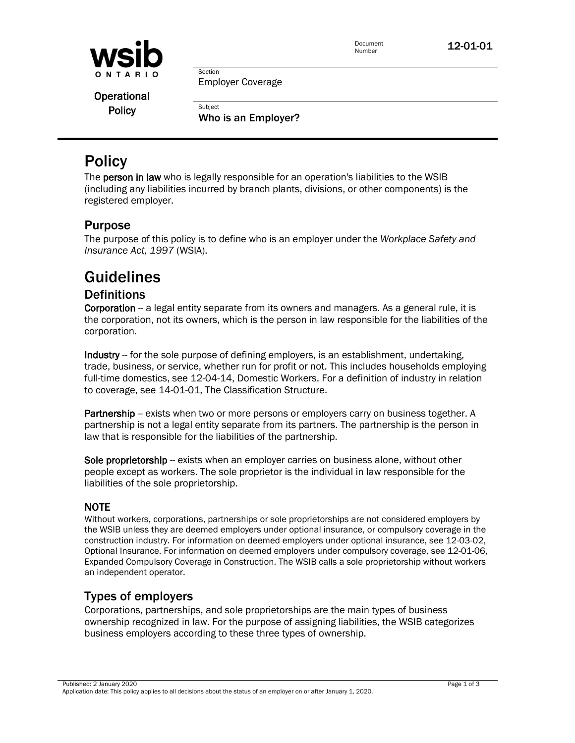

Document<br>Number

12-01-01

Employer Coverage

Section

**Subject** 

Operational **Policy** 

Who is an Employer?

# **Policy**

The **person in law** who is legally responsible for an operation's liabilities to the WSIB (including any liabilities incurred by branch plants, divisions, or other components) is the registered employer.

## Purpose

The purpose of this policy is to define who is an employer under the *Workplace Safety and Insurance Act, 1997* (WSIA).

# Guidelines

## **Definitions**

Corporation -- a legal entity separate from its owners and managers. As a general rule, it is the corporation, not its owners, which is the person in law responsible for the liabilities of the corporation.

Industry -- for the sole purpose of defining employers, is an establishment, undertaking, trade, business, or service, whether run for profit or not. This includes households employing full-time domestics, see 12-04-14, Domestic Workers. For a definition of industry in relation to coverage, see 14-01-01, The Classification Structure.

Partnership -- exists when two or more persons or employers carry on business together. A partnership is not a legal entity separate from its partners. The partnership is the person in law that is responsible for the liabilities of the partnership.

Sole proprietorship -- exists when an employer carries on business alone, without other people except as workers. The sole proprietor is the individual in law responsible for the liabilities of the sole proprietorship.

#### NOTE

Without workers, corporations, partnerships or sole proprietorships are not considered employers by the WSIB unless they are deemed employers under optional insurance, or compulsory coverage in the construction industry. For information on deemed employers under optional insurance, see 12-03-02, Optional Insurance. For information on deemed employers under compulsory coverage, see 12-01-06, Expanded Compulsory Coverage in Construction. The WSIB calls a sole proprietorship without workers an independent operator.

## Types of employers

Corporations, partnerships, and sole proprietorships are the main types of business ownership recognized in law. For the purpose of assigning liabilities, the WSIB categorizes business employers according to these three types of ownership.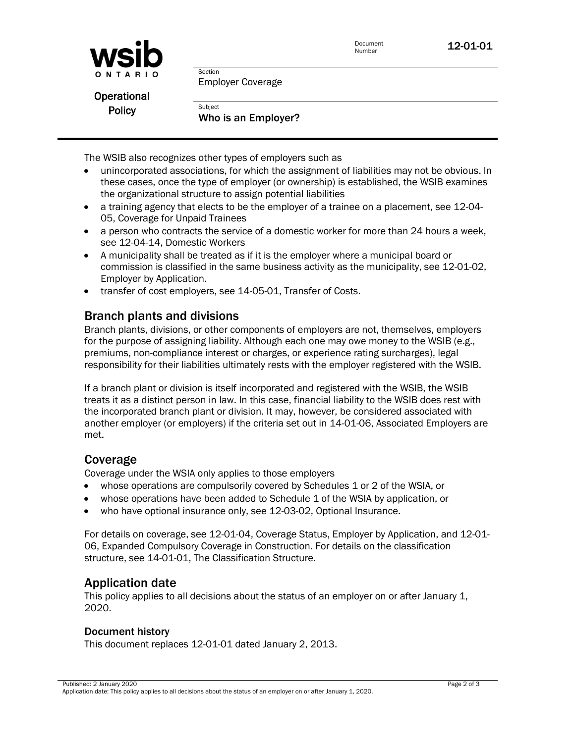



Employer Coverage

Operational **Policy** 

Who is an Employer?

The WSIB also recognizes other types of employers such as

Section

**Subject** 

- unincorporated associations, for which the assignment of liabilities may not be obvious. In these cases, once the type of employer (or ownership) is established, the WSIB examines the organizational structure to assign potential liabilities
- a training agency that elects to be the employer of a trainee on a placement, see 12-04- 05, Coverage for Unpaid Trainees
- a person who contracts the service of a domestic worker for more than 24 hours a week, see 12-04-14, Domestic Workers
- A municipality shall be treated as if it is the employer where a municipal board or commission is classified in the same business activity as the municipality, see 12-01-02, Employer by Application.
- transfer of cost employers, see 14-05-01, Transfer of Costs.

### Branch plants and divisions

Branch plants, divisions, or other components of employers are not, themselves, employers for the purpose of assigning liability. Although each one may owe money to the WSIB (e.g., premiums, non-compliance interest or charges, or experience rating surcharges), legal responsibility for their liabilities ultimately rests with the employer registered with the WSIB.

If a branch plant or division is itself incorporated and registered with the WSIB, the WSIB treats it as a distinct person in law. In this case, financial liability to the WSIB does rest with the incorporated branch plant or division. It may, however, be considered associated with another employer (or employers) if the criteria set out in 14-01-06, Associated Employers are met.

## Coverage

Coverage under the WSIA only applies to those employers

- whose operations are compulsorily covered by Schedules 1 or 2 of the WSIA, or
- whose operations have been added to Schedule 1 of the WSIA by application, or
- who have optional insurance only, see 12-03-02, Optional Insurance.

For details on coverage, see 12-01-04, Coverage Status, Employer by Application, and 12-01- 06, Expanded Compulsory Coverage in Construction. For details on the classification structure, see 14-01-01, The Classification Structure.

#### Application date

This policy applies to all decisions about the status of an employer on or after January 1, 2020.

#### Document history

This document replaces 12-01-01 dated January 2, 2013.

Published: 2 January 2020 Page 2 of 3 Application date: This policy applies to all decisions about the status of an employer on or after January 1, 2020.